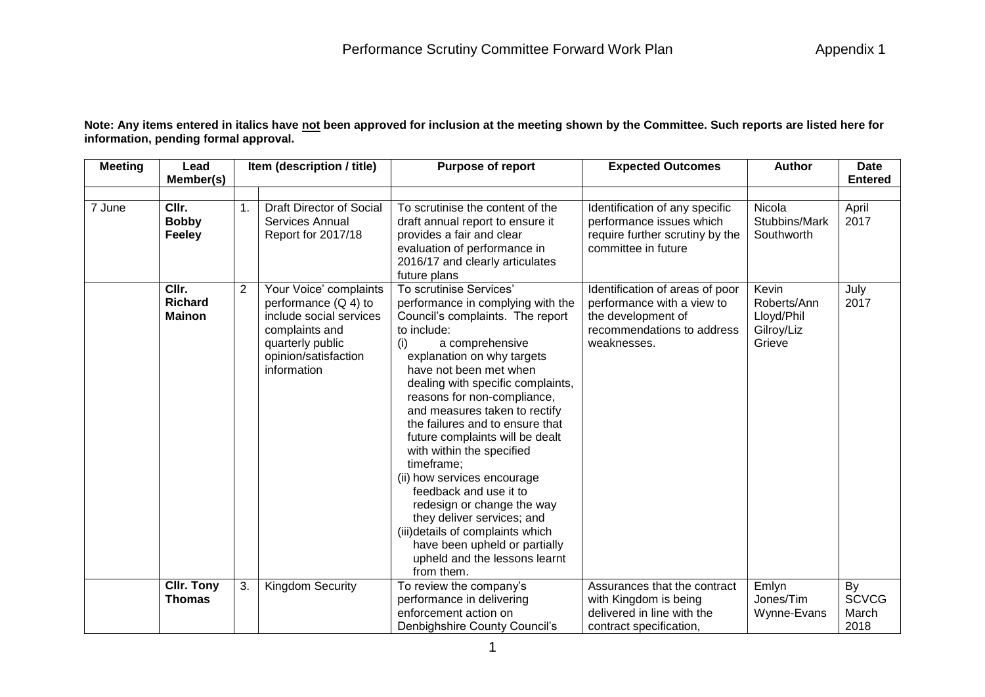| <b>Meeting</b> | Lead<br>Member(s)                        |                | Item (description / title)                                                                                                                               | <b>Purpose of report</b>                                                                                                                                                                                                                                                                                                                                                                                                                                                                                                                                                                                                                                          | <b>Expected Outcomes</b>                                                                                                         | <b>Author</b>                                              | <b>Date</b><br><b>Entered</b>       |
|----------------|------------------------------------------|----------------|----------------------------------------------------------------------------------------------------------------------------------------------------------|-------------------------------------------------------------------------------------------------------------------------------------------------------------------------------------------------------------------------------------------------------------------------------------------------------------------------------------------------------------------------------------------------------------------------------------------------------------------------------------------------------------------------------------------------------------------------------------------------------------------------------------------------------------------|----------------------------------------------------------------------------------------------------------------------------------|------------------------------------------------------------|-------------------------------------|
| 7 June         | CIIr.<br><b>Bobby</b><br><b>Feeley</b>   | $\mathbf{1}$ . | <b>Draft Director of Social</b><br>Services Annual<br>Report for 2017/18                                                                                 | To scrutinise the content of the<br>draft annual report to ensure it<br>provides a fair and clear<br>evaluation of performance in<br>2016/17 and clearly articulates<br>future plans                                                                                                                                                                                                                                                                                                                                                                                                                                                                              | Identification of any specific<br>performance issues which<br>require further scrutiny by the<br>committee in future             | Nicola<br>Stubbins/Mark<br>Southworth                      | April<br>2017                       |
|                | CIIr.<br><b>Richard</b><br><b>Mainon</b> | $\overline{2}$ | Your Voice' complaints<br>performance $(Q 4)$ to<br>include social services<br>complaints and<br>quarterly public<br>opinion/satisfaction<br>information | To scrutinise Services'<br>performance in complying with the<br>Council's complaints. The report<br>to include:<br>a comprehensive<br>(i)<br>explanation on why targets<br>have not been met when<br>dealing with specific complaints,<br>reasons for non-compliance,<br>and measures taken to rectify<br>the failures and to ensure that<br>future complaints will be dealt<br>with within the specified<br>timeframe;<br>(ii) how services encourage<br>feedback and use it to<br>redesign or change the way<br>they deliver services; and<br>(iii) details of complaints which<br>have been upheld or partially<br>upheld and the lessons learnt<br>from them. | Identification of areas of poor<br>performance with a view to<br>the development of<br>recommendations to address<br>weaknesses. | Kevin<br>Roberts/Ann<br>Lloyd/Phil<br>Gilroy/Liz<br>Grieve | July<br>2017                        |
|                | <b>CIIr. Tony</b><br><b>Thomas</b>       | 3.             | <b>Kingdom Security</b>                                                                                                                                  | To review the company's<br>performance in delivering<br>enforcement action on<br>Denbighshire County Council's                                                                                                                                                                                                                                                                                                                                                                                                                                                                                                                                                    | Assurances that the contract<br>with Kingdom is being<br>delivered in line with the<br>contract specification,                   | Emlyn<br>Jones/Tim<br>Wynne-Evans                          | By<br><b>SCVCG</b><br>March<br>2018 |

**Note: Any items entered in italics have not been approved for inclusion at the meeting shown by the Committee. Such reports are listed here for information, pending formal approval.**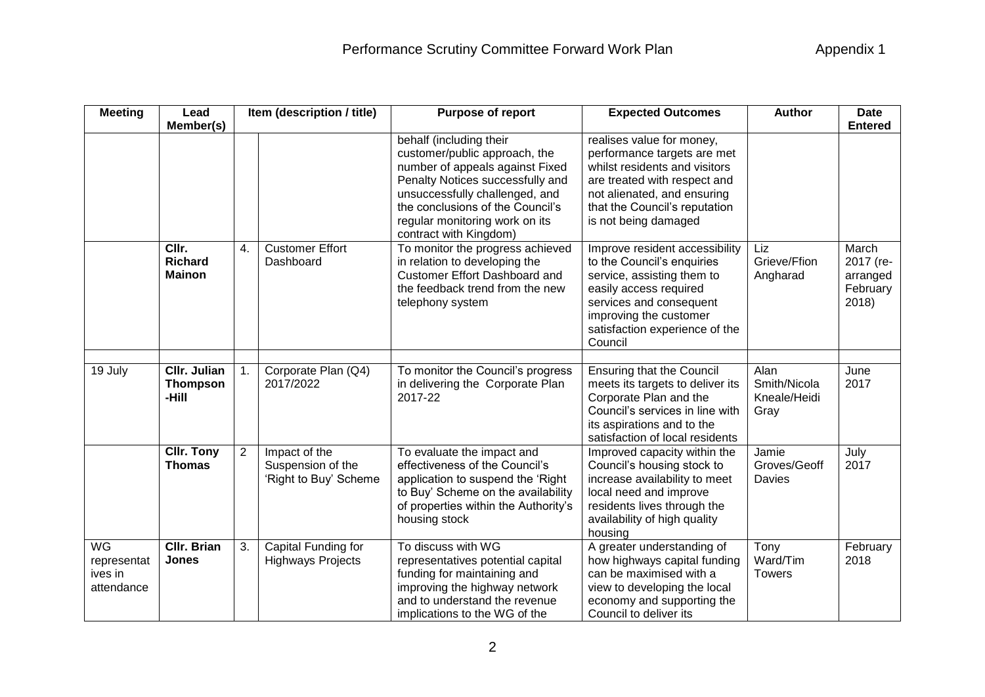| <b>Meeting</b>                                    | Lead                                            |                | Item (description / title)                                  | Purpose of report<br><b>Expected Outcomes</b>                                                                                                                                                                                                                     |                                                                                                                                                                                                                        | <b>Author</b>                                | <b>Date</b>                                         |
|---------------------------------------------------|-------------------------------------------------|----------------|-------------------------------------------------------------|-------------------------------------------------------------------------------------------------------------------------------------------------------------------------------------------------------------------------------------------------------------------|------------------------------------------------------------------------------------------------------------------------------------------------------------------------------------------------------------------------|----------------------------------------------|-----------------------------------------------------|
|                                                   | Member(s)                                       |                |                                                             |                                                                                                                                                                                                                                                                   |                                                                                                                                                                                                                        |                                              | <b>Entered</b>                                      |
|                                                   |                                                 |                |                                                             | behalf (including their<br>customer/public approach, the<br>number of appeals against Fixed<br>Penalty Notices successfully and<br>unsuccessfully challenged, and<br>the conclusions of the Council's<br>regular monitoring work on its<br>contract with Kingdom) | realises value for money,<br>performance targets are met<br>whilst residents and visitors<br>are treated with respect and<br>not alienated, and ensuring<br>that the Council's reputation<br>is not being damaged      |                                              |                                                     |
|                                                   | CIIr.<br><b>Richard</b><br><b>Mainon</b>        | 4.             | <b>Customer Effort</b><br>Dashboard                         | To monitor the progress achieved<br>in relation to developing the<br><b>Customer Effort Dashboard and</b><br>the feedback trend from the new<br>telephony system                                                                                                  | Improve resident accessibility<br>to the Council's enquiries<br>service, assisting them to<br>easily access required<br>services and consequent<br>improving the customer<br>satisfaction experience of the<br>Council | Liz<br>Grieve/Ffion<br>Angharad              | March<br>2017 (re-<br>arranged<br>February<br>2018) |
| 19 July                                           | <b>CIIr. Julian</b><br><b>Thompson</b><br>-Hill | 1.             | Corporate Plan (Q4)<br>2017/2022                            | To monitor the Council's progress<br>in delivering the Corporate Plan<br>2017-22                                                                                                                                                                                  | <b>Ensuring that the Council</b><br>meets its targets to deliver its<br>Corporate Plan and the<br>Council's services in line with<br>its aspirations and to the<br>satisfaction of local residents                     | Alan<br>Smith/Nicola<br>Kneale/Heidi<br>Gray | June<br>2017                                        |
|                                                   | <b>CIIr. Tony</b><br><b>Thomas</b>              | $\overline{2}$ | Impact of the<br>Suspension of the<br>'Right to Buy' Scheme | To evaluate the impact and<br>effectiveness of the Council's<br>application to suspend the 'Right<br>to Buy' Scheme on the availability<br>of properties within the Authority's<br>housing stock                                                                  | Improved capacity within the<br>Council's housing stock to<br>increase availability to meet<br>local need and improve<br>residents lives through the<br>availability of high quality<br>housing                        | Jamie<br>Groves/Geoff<br>Davies              | July<br>2017                                        |
| <b>WG</b><br>representat<br>ives in<br>attendance | <b>CIIr. Brian</b><br><b>Jones</b>              | 3.             | Capital Funding for<br><b>Highways Projects</b>             | To discuss with WG<br>representatives potential capital<br>funding for maintaining and<br>improving the highway network<br>and to understand the revenue<br>implications to the WG of the                                                                         | A greater understanding of<br>how highways capital funding<br>can be maximised with a<br>view to developing the local<br>economy and supporting the<br>Council to deliver its                                          | Tony<br>Ward/Tim<br><b>Towers</b>            | February<br>2018                                    |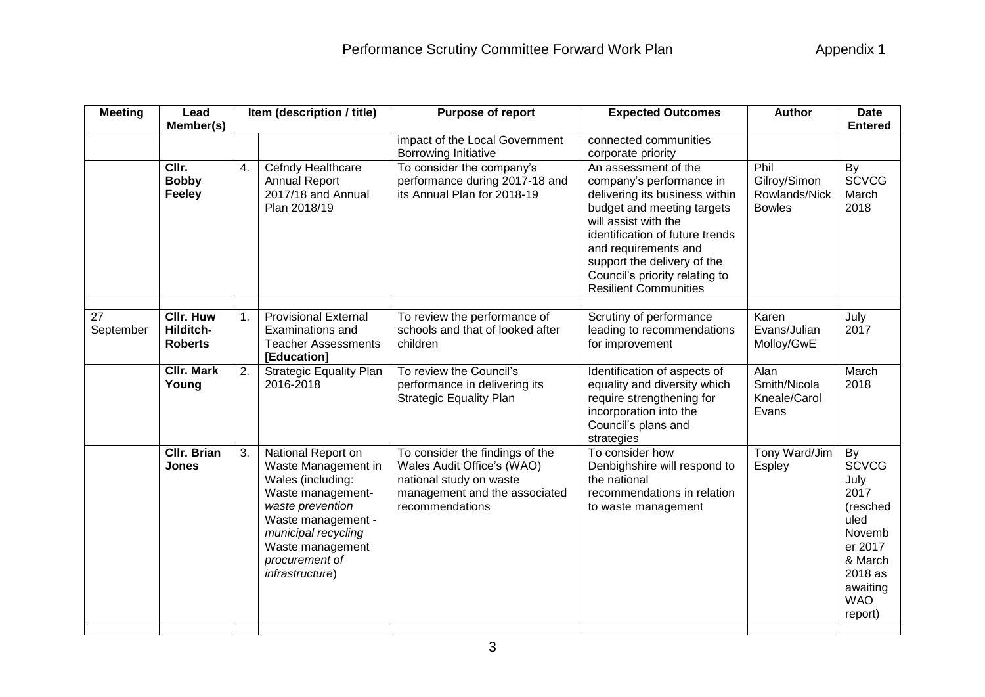| <b>Meeting</b>  | Lead<br>Member(s)                               |    | Item (description / title)                                                                                                                                                                                    | Purpose of report<br><b>Expected Outcomes</b>                                                                                                |                                                                                                                                                                                                                                                                                                      | <b>Author</b>                                          | <b>Date</b><br><b>Entered</b>                                                                                                          |
|-----------------|-------------------------------------------------|----|---------------------------------------------------------------------------------------------------------------------------------------------------------------------------------------------------------------|----------------------------------------------------------------------------------------------------------------------------------------------|------------------------------------------------------------------------------------------------------------------------------------------------------------------------------------------------------------------------------------------------------------------------------------------------------|--------------------------------------------------------|----------------------------------------------------------------------------------------------------------------------------------------|
|                 |                                                 |    |                                                                                                                                                                                                               | impact of the Local Government<br>Borrowing Initiative                                                                                       | connected communities<br>corporate priority                                                                                                                                                                                                                                                          |                                                        |                                                                                                                                        |
|                 | CIIr.<br><b>Bobby</b><br>Feeley                 | 4. | Cefndy Healthcare<br><b>Annual Report</b><br>2017/18 and Annual<br>Plan 2018/19                                                                                                                               | To consider the company's<br>performance during 2017-18 and<br>its Annual Plan for 2018-19                                                   | An assessment of the<br>company's performance in<br>delivering its business within<br>budget and meeting targets<br>will assist with the<br>identification of future trends<br>and requirements and<br>support the delivery of the<br>Council's priority relating to<br><b>Resilient Communities</b> | Phil<br>Gilroy/Simon<br>Rowlands/Nick<br><b>Bowles</b> | By<br><b>SCVCG</b><br>March<br>2018                                                                                                    |
| 27<br>September | <b>CIIr. Huw</b><br>Hilditch-<br><b>Roberts</b> | 1. | <b>Provisional External</b><br><b>Examinations and</b><br><b>Teacher Assessments</b><br>[Education]                                                                                                           | To review the performance of<br>schools and that of looked after<br>children                                                                 | Scrutiny of performance<br>leading to recommendations<br>for improvement                                                                                                                                                                                                                             | Karen<br>Evans/Julian<br>Molloy/GwE                    | July<br>2017                                                                                                                           |
|                 | <b>CIIr. Mark</b><br>Young                      | 2. | <b>Strategic Equality Plan</b><br>2016-2018                                                                                                                                                                   | To review the Council's<br>performance in delivering its<br><b>Strategic Equality Plan</b>                                                   | Identification of aspects of<br>equality and diversity which<br>require strengthening for<br>incorporation into the<br>Council's plans and<br>strategies                                                                                                                                             | Alan<br>Smith/Nicola<br>Kneale/Carol<br>Evans          | March<br>2018                                                                                                                          |
|                 | <b>Cllr. Brian</b><br><b>Jones</b>              | 3. | National Report on<br>Waste Management in<br>Wales (including:<br>Waste management-<br>waste prevention<br>Waste management -<br>municipal recycling<br>Waste management<br>procurement of<br>infrastructure) | To consider the findings of the<br>Wales Audit Office's (WAO)<br>national study on waste<br>management and the associated<br>recommendations | To consider how<br>Denbighshire will respond to<br>the national<br>recommendations in relation<br>to waste management                                                                                                                                                                                | Tony Ward/Jim<br>Espley                                | By<br><b>SCVCG</b><br>July<br>2017<br>(resched<br>uled<br>Novemb<br>er 2017<br>& March<br>2018 as<br>awaiting<br><b>WAO</b><br>report) |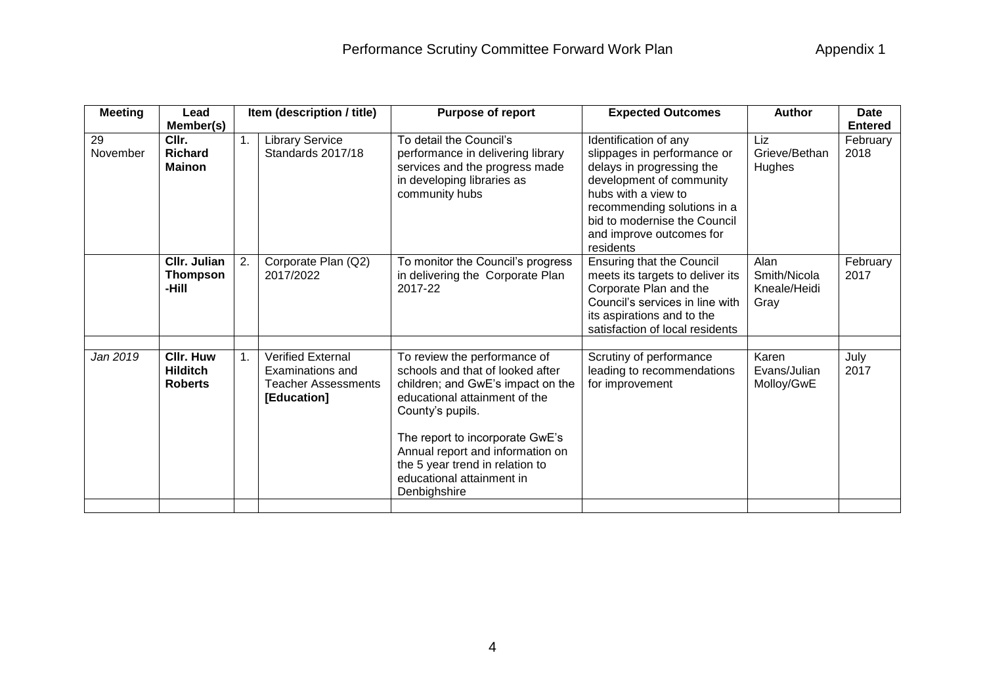| Lead                                                  |    | Item (description / title)                                                                | <b>Purpose of report</b>                                                                                                                                                                                                                                                                                          | <b>Expected Outcomes</b>                                                                                                                                                                                                                     | <b>Author</b>                                | <b>Date</b>      |
|-------------------------------------------------------|----|-------------------------------------------------------------------------------------------|-------------------------------------------------------------------------------------------------------------------------------------------------------------------------------------------------------------------------------------------------------------------------------------------------------------------|----------------------------------------------------------------------------------------------------------------------------------------------------------------------------------------------------------------------------------------------|----------------------------------------------|------------------|
| Member(s)                                             |    |                                                                                           |                                                                                                                                                                                                                                                                                                                   |                                                                                                                                                                                                                                              |                                              | <b>Entered</b>   |
| CIIr.<br><b>Richard</b><br><b>Mainon</b>              | 1. | <b>Library Service</b><br>Standards 2017/18                                               | To detail the Council's<br>performance in delivering library<br>services and the progress made<br>in developing libraries as<br>community hubs                                                                                                                                                                    | Identification of any<br>slippages in performance or<br>delays in progressing the<br>development of community<br>hubs with a view to<br>recommending solutions in a<br>bid to modernise the Council<br>and improve outcomes for<br>residents | Liz<br>Grieve/Bethan<br><b>Hughes</b>        | February<br>2018 |
| <b>CIIr. Julian</b><br><b>Thompson</b><br>-Hill       | 2. | Corporate Plan (Q2)<br>2017/2022                                                          | To monitor the Council's progress<br>in delivering the Corporate Plan<br>2017-22                                                                                                                                                                                                                                  | <b>Ensuring that the Council</b><br>meets its targets to deliver its<br>Corporate Plan and the<br>Council's services in line with<br>its aspirations and to the<br>satisfaction of local residents                                           | Alan<br>Smith/Nicola<br>Kneale/Heidi<br>Gray | February<br>2017 |
| <b>CIIr. Huw</b><br><b>Hilditch</b><br><b>Roberts</b> | 1. | <b>Verified External</b><br>Examinations and<br><b>Teacher Assessments</b><br>[Education] | To review the performance of<br>schools and that of looked after<br>children; and GwE's impact on the<br>educational attainment of the<br>County's pupils.<br>The report to incorporate GwE's<br>Annual report and information on<br>the 5 year trend in relation to<br>educational attainment in<br>Denbighshire | Scrutiny of performance<br>leading to recommendations<br>for improvement                                                                                                                                                                     | Karen<br>Evans/Julian<br>Molloy/GwE          | July<br>2017     |
|                                                       |    |                                                                                           |                                                                                                                                                                                                                                                                                                                   |                                                                                                                                                                                                                                              |                                              |                  |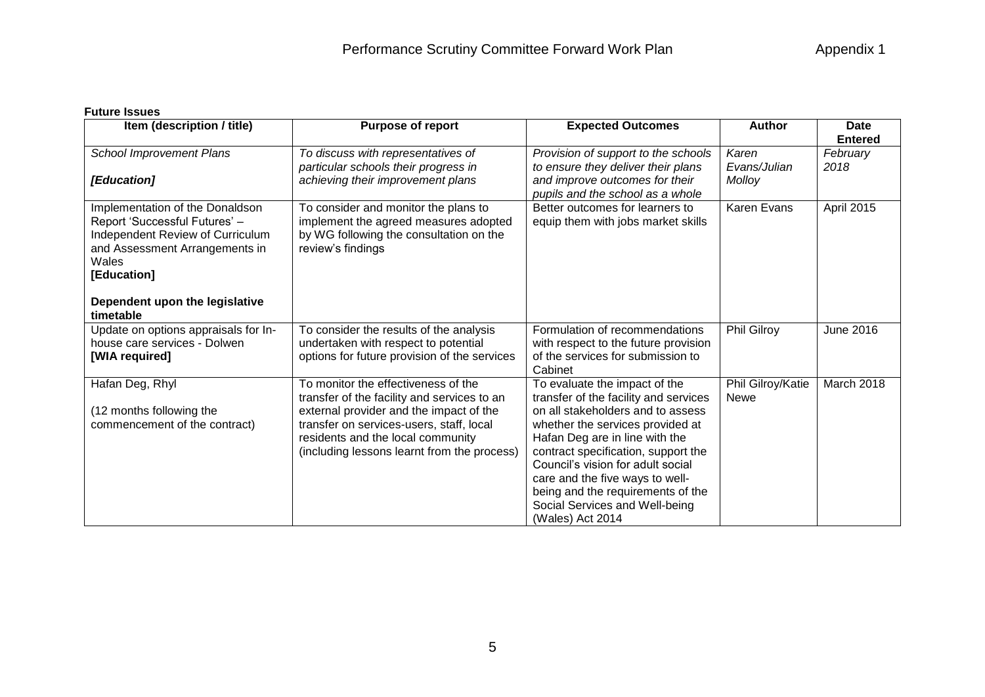## **Future Issues**

| Item (description / title)           | <b>Purpose of report</b>                     | <b>Expected Outcomes</b>                                           | <b>Author</b>     | <b>Date</b>      |
|--------------------------------------|----------------------------------------------|--------------------------------------------------------------------|-------------------|------------------|
|                                      |                                              |                                                                    |                   | <b>Entered</b>   |
| <b>School Improvement Plans</b>      | To discuss with representatives of           | Provision of support to the schools                                | Karen             | February         |
|                                      | particular schools their progress in         | to ensure they deliver their plans                                 | Evans/Julian      | 2018             |
| [Education]                          | achieving their improvement plans            | and improve outcomes for their<br>pupils and the school as a whole | Molloy            |                  |
| Implementation of the Donaldson      | To consider and monitor the plans to         | Better outcomes for learners to                                    | Karen Evans       | April 2015       |
| Report 'Successful Futures' -        | implement the agreed measures adopted        | equip them with jobs market skills                                 |                   |                  |
| Independent Review of Curriculum     | by WG following the consultation on the      |                                                                    |                   |                  |
| and Assessment Arrangements in       | review's findings                            |                                                                    |                   |                  |
| Wales                                |                                              |                                                                    |                   |                  |
| [Education]                          |                                              |                                                                    |                   |                  |
|                                      |                                              |                                                                    |                   |                  |
| Dependent upon the legislative       |                                              |                                                                    |                   |                  |
| timetable                            |                                              |                                                                    |                   |                  |
| Update on options appraisals for In- | To consider the results of the analysis      | Formulation of recommendations                                     | Phil Gilroy       | <b>June 2016</b> |
| house care services - Dolwen         | undertaken with respect to potential         | with respect to the future provision                               |                   |                  |
| [WIA required]                       | options for future provision of the services | of the services for submission to<br>Cabinet                       |                   |                  |
| Hafan Deg, Rhyl                      | To monitor the effectiveness of the          | To evaluate the impact of the                                      | Phil Gilroy/Katie | March 2018       |
|                                      | transfer of the facility and services to an  | transfer of the facility and services                              | Newe              |                  |
| (12 months following the             | external provider and the impact of the      | on all stakeholders and to assess                                  |                   |                  |
| commencement of the contract)        | transfer on services-users, staff, local     | whether the services provided at                                   |                   |                  |
|                                      | residents and the local community            | Hafan Deg are in line with the                                     |                   |                  |
|                                      | (including lessons learnt from the process)  | contract specification, support the                                |                   |                  |
|                                      |                                              | Council's vision for adult social                                  |                   |                  |
|                                      |                                              | care and the five ways to well-                                    |                   |                  |
|                                      |                                              | being and the requirements of the                                  |                   |                  |
|                                      |                                              | Social Services and Well-being                                     |                   |                  |
|                                      |                                              | (Wales) Act 2014                                                   |                   |                  |